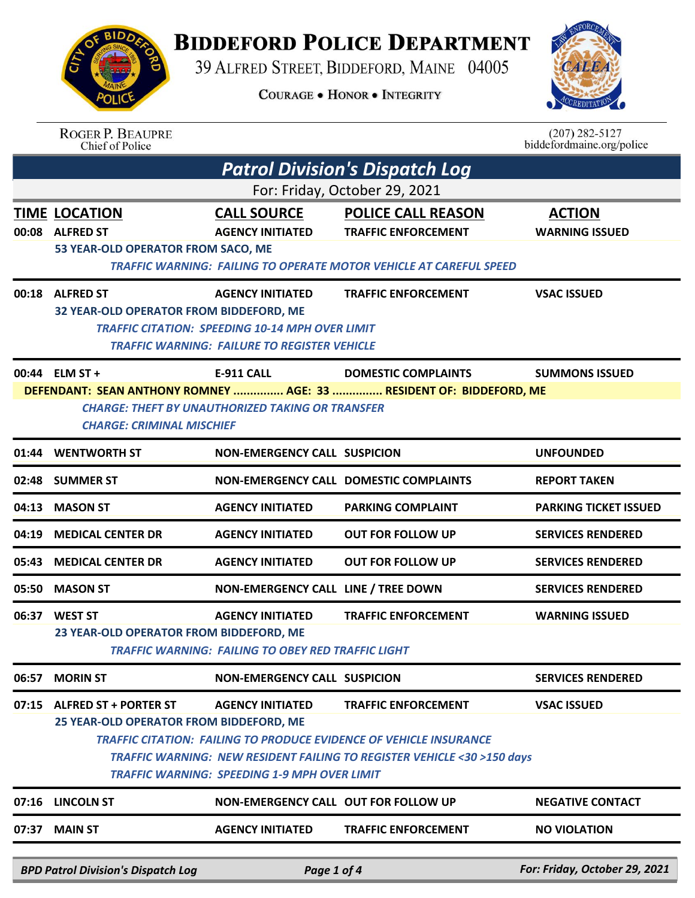## **BIDDEFORD POLICE DEPARTMENT**

39 ALFRED STREET, BIDDEFORD, MAINE 04005

**COURAGE . HONOR . INTEGRITY** 



|                                                                                                                                                                    | <b>ROGER P. BEAUPRE</b><br>Chief of Police                                     |                                                                                                                                          |                                                                                                                                                                                    | $(207)$ 282-5127<br>biddefordmaine.org/police |  |
|--------------------------------------------------------------------------------------------------------------------------------------------------------------------|--------------------------------------------------------------------------------|------------------------------------------------------------------------------------------------------------------------------------------|------------------------------------------------------------------------------------------------------------------------------------------------------------------------------------|-----------------------------------------------|--|
|                                                                                                                                                                    |                                                                                |                                                                                                                                          | <b>Patrol Division's Dispatch Log</b>                                                                                                                                              |                                               |  |
|                                                                                                                                                                    |                                                                                |                                                                                                                                          | For: Friday, October 29, 2021                                                                                                                                                      |                                               |  |
| 00:08                                                                                                                                                              | <b>TIME LOCATION</b><br><b>ALFRED ST</b><br>53 YEAR-OLD OPERATOR FROM SACO, ME | <b>CALL SOURCE</b><br><b>AGENCY INITIATED</b>                                                                                            | <b>POLICE CALL REASON</b><br><b>TRAFFIC ENFORCEMENT</b><br><b>TRAFFIC WARNING: FAILING TO OPERATE MOTOR VEHICLE AT CAREFUL SPEED</b>                                               | <b>ACTION</b><br><b>WARNING ISSUED</b>        |  |
|                                                                                                                                                                    | 00:18 ALFRED ST<br>32 YEAR-OLD OPERATOR FROM BIDDEFORD, ME                     | <b>AGENCY INITIATED</b><br><b>TRAFFIC CITATION: SPEEDING 10-14 MPH OVER LIMIT</b><br><b>TRAFFIC WARNING: FAILURE TO REGISTER VEHICLE</b> | <b>TRAFFIC ENFORCEMENT</b>                                                                                                                                                         | <b>VSAC ISSUED</b>                            |  |
|                                                                                                                                                                    | 00:44 ELM ST +                                                                 | <b>E-911 CALL</b>                                                                                                                        | <b>DOMESTIC COMPLAINTS</b>                                                                                                                                                         | <b>SUMMONS ISSUED</b>                         |  |
| DEFENDANT: SEAN ANTHONY ROMNEY  AGE: 33  RESIDENT OF: BIDDEFORD, ME<br><b>CHARGE: THEFT BY UNAUTHORIZED TAKING OR TRANSFER</b><br><b>CHARGE: CRIMINAL MISCHIEF</b> |                                                                                |                                                                                                                                          |                                                                                                                                                                                    |                                               |  |
|                                                                                                                                                                    | 01:44 WENTWORTH ST                                                             | <b>NON-EMERGENCY CALL SUSPICION</b>                                                                                                      |                                                                                                                                                                                    | <b>UNFOUNDED</b>                              |  |
| 02:48                                                                                                                                                              | <b>SUMMER ST</b>                                                               |                                                                                                                                          | <b>NON-EMERGENCY CALL DOMESTIC COMPLAINTS</b>                                                                                                                                      | <b>REPORT TAKEN</b>                           |  |
| 04:13                                                                                                                                                              | <b>MASON ST</b>                                                                | <b>AGENCY INITIATED</b>                                                                                                                  | <b>PARKING COMPLAINT</b>                                                                                                                                                           | <b>PARKING TICKET ISSUED</b>                  |  |
| 04:19                                                                                                                                                              | <b>MEDICAL CENTER DR</b>                                                       | <b>AGENCY INITIATED</b>                                                                                                                  | <b>OUT FOR FOLLOW UP</b>                                                                                                                                                           | <b>SERVICES RENDERED</b>                      |  |
| 05:43                                                                                                                                                              | <b>MEDICAL CENTER DR</b>                                                       | <b>AGENCY INITIATED</b>                                                                                                                  | <b>OUT FOR FOLLOW UP</b>                                                                                                                                                           | <b>SERVICES RENDERED</b>                      |  |
| 05:50                                                                                                                                                              | <b>MASON ST</b>                                                                | NON-EMERGENCY CALL LINE / TREE DOWN                                                                                                      |                                                                                                                                                                                    | <b>SERVICES RENDERED</b>                      |  |
|                                                                                                                                                                    | 06:37 WEST ST<br>23 YEAR-OLD OPERATOR FROM BIDDEFORD, ME                       | <b>AGENCY INITIATED</b><br><b>TRAFFIC WARNING: FAILING TO OBEY RED TRAFFIC LIGHT</b>                                                     | <b>TRAFFIC ENFORCEMENT</b>                                                                                                                                                         | <b>WARNING ISSUED</b>                         |  |
| 06:57                                                                                                                                                              | <b>MORIN ST</b>                                                                | <b>NON-EMERGENCY CALL SUSPICION</b>                                                                                                      |                                                                                                                                                                                    | <b>SERVICES RENDERED</b>                      |  |
| 07:15                                                                                                                                                              | <b>ALFRED ST + PORTER ST</b><br>25 YEAR-OLD OPERATOR FROM BIDDEFORD, ME        | <b>AGENCY INITIATED</b><br><b>TRAFFIC WARNING: SPEEDING 1-9 MPH OVER LIMIT</b>                                                           | <b>TRAFFIC ENFORCEMENT</b><br><b>TRAFFIC CITATION: FAILING TO PRODUCE EVIDENCE OF VEHICLE INSURANCE</b><br>TRAFFIC WARNING: NEW RESIDENT FAILING TO REGISTER VEHICLE <30 >150 days | <b>VSAC ISSUED</b>                            |  |
|                                                                                                                                                                    | 07:16 LINCOLN ST                                                               | NON-EMERGENCY CALL OUT FOR FOLLOW UP                                                                                                     |                                                                                                                                                                                    | <b>NEGATIVE CONTACT</b>                       |  |
|                                                                                                                                                                    | 07:37 MAIN ST                                                                  | <b>AGENCY INITIATED</b>                                                                                                                  | <b>TRAFFIC ENFORCEMENT</b>                                                                                                                                                         | <b>NO VIOLATION</b>                           |  |
|                                                                                                                                                                    | <b>BPD Patrol Division's Dispatch Log</b>                                      | Page 1 of 4                                                                                                                              |                                                                                                                                                                                    | For: Friday, October 29, 2021                 |  |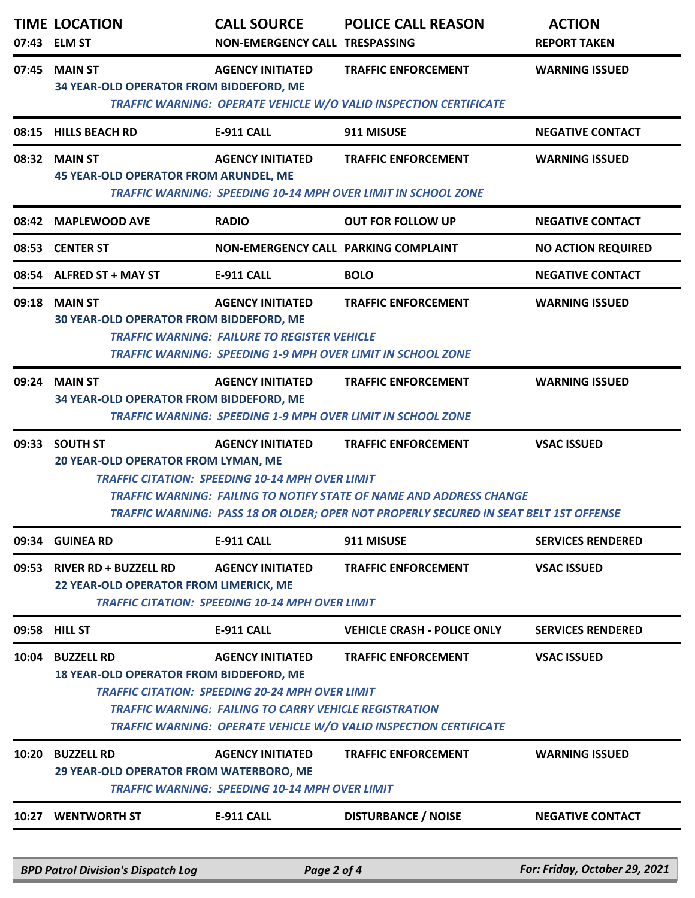|       | <b>TIME LOCATION</b><br>07:43 ELM ST                                                                                                                                                                                                                                                                                                                           | <b>CALL SOURCE</b><br>NON-EMERGENCY CALL TRESPASSING                              | <b>POLICE CALL REASON</b>                                                                              | <b>ACTION</b><br><b>REPORT TAKEN</b> |  |
|-------|----------------------------------------------------------------------------------------------------------------------------------------------------------------------------------------------------------------------------------------------------------------------------------------------------------------------------------------------------------------|-----------------------------------------------------------------------------------|--------------------------------------------------------------------------------------------------------|--------------------------------------|--|
| 07:45 | <b>MAIN ST</b><br>34 YEAR-OLD OPERATOR FROM BIDDEFORD, ME                                                                                                                                                                                                                                                                                                      | <b>AGENCY INITIATED</b>                                                           | <b>TRAFFIC ENFORCEMENT</b><br><b>TRAFFIC WARNING: OPERATE VEHICLE W/O VALID INSPECTION CERTIFICATE</b> | <b>WARNING ISSUED</b>                |  |
|       | 08:15 HILLS BEACH RD                                                                                                                                                                                                                                                                                                                                           | E-911 CALL                                                                        | 911 MISUSE                                                                                             | <b>NEGATIVE CONTACT</b>              |  |
|       | 08:32 MAIN ST<br><b>45 YEAR-OLD OPERATOR FROM ARUNDEL, ME</b>                                                                                                                                                                                                                                                                                                  | <b>AGENCY INITIATED</b>                                                           | <b>TRAFFIC ENFORCEMENT</b><br><b>TRAFFIC WARNING: SPEEDING 10-14 MPH OVER LIMIT IN SCHOOL ZONE</b>     | <b>WARNING ISSUED</b>                |  |
|       | 08:42 MAPLEWOOD AVE                                                                                                                                                                                                                                                                                                                                            | <b>RADIO</b>                                                                      | <b>OUT FOR FOLLOW UP</b>                                                                               | <b>NEGATIVE CONTACT</b>              |  |
|       | 08:53 CENTER ST                                                                                                                                                                                                                                                                                                                                                | NON-EMERGENCY CALL PARKING COMPLAINT                                              |                                                                                                        | <b>NO ACTION REQUIRED</b>            |  |
|       | 08:54 ALFRED ST + MAY ST                                                                                                                                                                                                                                                                                                                                       | <b>E-911 CALL</b>                                                                 | <b>BOLO</b>                                                                                            | <b>NEGATIVE CONTACT</b>              |  |
| 09:18 | <b>MAIN ST</b><br>30 YEAR-OLD OPERATOR FROM BIDDEFORD, ME                                                                                                                                                                                                                                                                                                      | <b>AGENCY INITIATED</b><br><b>TRAFFIC WARNING: FAILURE TO REGISTER VEHICLE</b>    | <b>TRAFFIC ENFORCEMENT</b><br><b>TRAFFIC WARNING: SPEEDING 1-9 MPH OVER LIMIT IN SCHOOL ZONE</b>       | <b>WARNING ISSUED</b>                |  |
| 09:24 | <b>MAIN ST</b><br>34 YEAR-OLD OPERATOR FROM BIDDEFORD, ME                                                                                                                                                                                                                                                                                                      | <b>AGENCY INITIATED</b>                                                           | <b>TRAFFIC ENFORCEMENT</b><br><b>TRAFFIC WARNING: SPEEDING 1-9 MPH OVER LIMIT IN SCHOOL ZONE</b>       | <b>WARNING ISSUED</b>                |  |
|       | 09:33 SOUTH ST<br><b>AGENCY INITIATED</b><br><b>VSAC ISSUED</b><br><b>TRAFFIC ENFORCEMENT</b><br>20 YEAR-OLD OPERATOR FROM LYMAN, ME<br><b>TRAFFIC CITATION: SPEEDING 10-14 MPH OVER LIMIT</b><br>TRAFFIC WARNING: FAILING TO NOTIFY STATE OF NAME AND ADDRESS CHANGE<br>TRAFFIC WARNING: PASS 18 OR OLDER; OPER NOT PROPERLY SECURED IN SEAT BELT 1ST OFFENSE |                                                                                   |                                                                                                        |                                      |  |
| 09:34 | <b>GUINEA RD</b>                                                                                                                                                                                                                                                                                                                                               | <b>E-911 CALL</b>                                                                 | 911 MISUSE                                                                                             | <b>SERVICES RENDERED</b>             |  |
| 09:53 | <b>RIVER RD + BUZZELL RD</b><br>22 YEAR-OLD OPERATOR FROM LIMERICK, ME                                                                                                                                                                                                                                                                                         | <b>AGENCY INITIATED</b><br><b>TRAFFIC CITATION: SPEEDING 10-14 MPH OVER LIMIT</b> | <b>TRAFFIC ENFORCEMENT</b>                                                                             | <b>VSAC ISSUED</b>                   |  |
|       | 09:58 HILL ST                                                                                                                                                                                                                                                                                                                                                  | <b>E-911 CALL</b>                                                                 | <b>VEHICLE CRASH - POLICE ONLY</b>                                                                     | <b>SERVICES RENDERED</b>             |  |
|       | 10:04 BUZZELL RD<br><b>VSAC ISSUED</b><br><b>AGENCY INITIATED</b><br><b>TRAFFIC ENFORCEMENT</b><br>18 YEAR-OLD OPERATOR FROM BIDDEFORD, ME<br><b>TRAFFIC CITATION: SPEEDING 20-24 MPH OVER LIMIT</b><br><b>TRAFFIC WARNING: FAILING TO CARRY VEHICLE REGISTRATION</b><br><b>TRAFFIC WARNING: OPERATE VEHICLE W/O VALID INSPECTION CERTIFICATE</b>              |                                                                                   |                                                                                                        |                                      |  |
| 10:20 | <b>BUZZELL RD</b><br>29 YEAR-OLD OPERATOR FROM WATERBORO, ME                                                                                                                                                                                                                                                                                                   | <b>AGENCY INITIATED</b><br><b>TRAFFIC WARNING: SPEEDING 10-14 MPH OVER LIMIT</b>  | <b>TRAFFIC ENFORCEMENT</b>                                                                             | <b>WARNING ISSUED</b>                |  |
| 10:27 | <b>WENTWORTH ST</b>                                                                                                                                                                                                                                                                                                                                            | <b>E-911 CALL</b>                                                                 | <b>DISTURBANCE / NOISE</b>                                                                             | <b>NEGATIVE CONTACT</b>              |  |
|       | <b>BPD Patrol Division's Dispatch Log</b>                                                                                                                                                                                                                                                                                                                      | Page 2 of 4                                                                       |                                                                                                        | For: Friday, October 29, 2021        |  |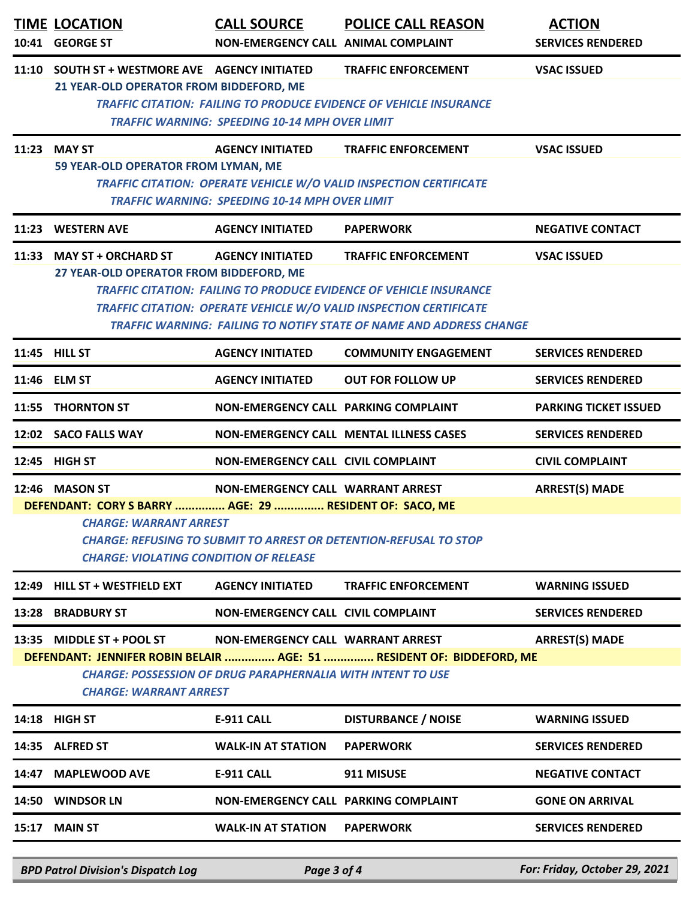| 10:41                                                                                                                                                                                                                                                                             | <b>TIME LOCATION</b><br><b>GEORGE ST</b>                                                                                                                                                                                                                                                              | <b>CALL SOURCE</b><br>NON-EMERGENCY CALL ANIMAL COMPLAINT                        | <b>POLICE CALL REASON</b>                                                                                                                                                                                                                                   | <b>ACTION</b><br><b>SERVICES RENDERED</b> |  |  |
|-----------------------------------------------------------------------------------------------------------------------------------------------------------------------------------------------------------------------------------------------------------------------------------|-------------------------------------------------------------------------------------------------------------------------------------------------------------------------------------------------------------------------------------------------------------------------------------------------------|----------------------------------------------------------------------------------|-------------------------------------------------------------------------------------------------------------------------------------------------------------------------------------------------------------------------------------------------------------|-------------------------------------------|--|--|
| 11:10                                                                                                                                                                                                                                                                             | <b>SOUTH ST + WESTMORE AVE AGENCY INITIATED</b><br>21 YEAR-OLD OPERATOR FROM BIDDEFORD, ME                                                                                                                                                                                                            | <b>TRAFFIC WARNING: SPEEDING 10-14 MPH OVER LIMIT</b>                            | <b>TRAFFIC ENFORCEMENT</b><br><b>TRAFFIC CITATION: FAILING TO PRODUCE EVIDENCE OF VEHICLE INSURANCE</b>                                                                                                                                                     | <b>VSAC ISSUED</b>                        |  |  |
| 11:23                                                                                                                                                                                                                                                                             | <b>MAY ST</b><br>59 YEAR-OLD OPERATOR FROM LYMAN, ME                                                                                                                                                                                                                                                  | <b>AGENCY INITIATED</b><br><b>TRAFFIC WARNING: SPEEDING 10-14 MPH OVER LIMIT</b> | <b>TRAFFIC ENFORCEMENT</b><br>TRAFFIC CITATION: OPERATE VEHICLE W/O VALID INSPECTION CERTIFICATE                                                                                                                                                            | <b>VSAC ISSUED</b>                        |  |  |
| 11:23                                                                                                                                                                                                                                                                             | <b>WESTERN AVE</b>                                                                                                                                                                                                                                                                                    | <b>AGENCY INITIATED</b>                                                          | <b>PAPERWORK</b>                                                                                                                                                                                                                                            | <b>NEGATIVE CONTACT</b>                   |  |  |
|                                                                                                                                                                                                                                                                                   | 11:33 MAY ST + ORCHARD ST<br>27 YEAR-OLD OPERATOR FROM BIDDEFORD, ME                                                                                                                                                                                                                                  | <b>AGENCY INITIATED</b>                                                          | <b>TRAFFIC ENFORCEMENT</b><br><b>TRAFFIC CITATION: FAILING TO PRODUCE EVIDENCE OF VEHICLE INSURANCE</b><br><b>TRAFFIC CITATION: OPERATE VEHICLE W/O VALID INSPECTION CERTIFICATE</b><br>TRAFFIC WARNING: FAILING TO NOTIFY STATE OF NAME AND ADDRESS CHANGE | <b>VSAC ISSUED</b>                        |  |  |
|                                                                                                                                                                                                                                                                                   | 11:45 HILL ST                                                                                                                                                                                                                                                                                         | <b>AGENCY INITIATED</b>                                                          | <b>COMMUNITY ENGAGEMENT</b>                                                                                                                                                                                                                                 | <b>SERVICES RENDERED</b>                  |  |  |
|                                                                                                                                                                                                                                                                                   | 11:46 ELM ST                                                                                                                                                                                                                                                                                          | <b>AGENCY INITIATED</b>                                                          | <b>OUT FOR FOLLOW UP</b>                                                                                                                                                                                                                                    | <b>SERVICES RENDERED</b>                  |  |  |
|                                                                                                                                                                                                                                                                                   | 11:55 THORNTON ST                                                                                                                                                                                                                                                                                     | NON-EMERGENCY CALL PARKING COMPLAINT                                             |                                                                                                                                                                                                                                                             | <b>PARKING TICKET ISSUED</b>              |  |  |
|                                                                                                                                                                                                                                                                                   | 12:02 SACO FALLS WAY                                                                                                                                                                                                                                                                                  |                                                                                  | NON-EMERGENCY CALL MENTAL ILLNESS CASES                                                                                                                                                                                                                     | <b>SERVICES RENDERED</b>                  |  |  |
|                                                                                                                                                                                                                                                                                   | 12:45 HIGH ST                                                                                                                                                                                                                                                                                         | NON-EMERGENCY CALL CIVIL COMPLAINT                                               |                                                                                                                                                                                                                                                             | <b>CIVIL COMPLAINT</b>                    |  |  |
|                                                                                                                                                                                                                                                                                   | 12:46 MASON ST<br><b>ARREST(S) MADE</b><br>NON-EMERGENCY CALL WARRANT ARREST<br>DEFENDANT: CORY S BARRY  AGE: 29  RESIDENT OF: SACO, ME<br><b>CHARGE: WARRANT ARREST</b><br><b>CHARGE: REFUSING TO SUBMIT TO ARREST OR DETENTION-REFUSAL TO STOP</b><br><b>CHARGE: VIOLATING CONDITION OF RELEASE</b> |                                                                                  |                                                                                                                                                                                                                                                             |                                           |  |  |
| 12:49                                                                                                                                                                                                                                                                             | <b>HILL ST + WESTFIELD EXT</b>                                                                                                                                                                                                                                                                        | <b>AGENCY INITIATED</b>                                                          | <b>TRAFFIC ENFORCEMENT</b>                                                                                                                                                                                                                                  | <b>WARNING ISSUED</b>                     |  |  |
| 13:28                                                                                                                                                                                                                                                                             | <b>BRADBURY ST</b>                                                                                                                                                                                                                                                                                    | <b>NON-EMERGENCY CALL CIVIL COMPLAINT</b>                                        |                                                                                                                                                                                                                                                             | <b>SERVICES RENDERED</b>                  |  |  |
| <b>ARREST(S) MADE</b><br><b>MIDDLE ST + POOL ST</b><br>NON-EMERGENCY CALL WARRANT ARREST<br>13:35<br>DEFENDANT: JENNIFER ROBIN BELAIR  AGE: 51  RESIDENT OF: BIDDEFORD, ME<br><b>CHARGE: POSSESSION OF DRUG PARAPHERNALIA WITH INTENT TO USE</b><br><b>CHARGE: WARRANT ARREST</b> |                                                                                                                                                                                                                                                                                                       |                                                                                  |                                                                                                                                                                                                                                                             |                                           |  |  |
|                                                                                                                                                                                                                                                                                   | <b>14:18 HIGH ST</b>                                                                                                                                                                                                                                                                                  | <b>E-911 CALL</b>                                                                | <b>DISTURBANCE / NOISE</b>                                                                                                                                                                                                                                  | <b>WARNING ISSUED</b>                     |  |  |
|                                                                                                                                                                                                                                                                                   | 14:35 ALFRED ST                                                                                                                                                                                                                                                                                       | <b>WALK-IN AT STATION</b>                                                        | <b>PAPERWORK</b>                                                                                                                                                                                                                                            | <b>SERVICES RENDERED</b>                  |  |  |
| 14:47                                                                                                                                                                                                                                                                             | <b>MAPLEWOOD AVE</b>                                                                                                                                                                                                                                                                                  | <b>E-911 CALL</b>                                                                | 911 MISUSE                                                                                                                                                                                                                                                  | <b>NEGATIVE CONTACT</b>                   |  |  |
| 14:50                                                                                                                                                                                                                                                                             | <b>WINDSOR LN</b>                                                                                                                                                                                                                                                                                     | NON-EMERGENCY CALL PARKING COMPLAINT                                             |                                                                                                                                                                                                                                                             | <b>GONE ON ARRIVAL</b>                    |  |  |
| 15:17                                                                                                                                                                                                                                                                             | <b>MAIN ST</b>                                                                                                                                                                                                                                                                                        | <b>WALK-IN AT STATION</b>                                                        | <b>PAPERWORK</b>                                                                                                                                                                                                                                            | <b>SERVICES RENDERED</b>                  |  |  |
|                                                                                                                                                                                                                                                                                   |                                                                                                                                                                                                                                                                                                       |                                                                                  |                                                                                                                                                                                                                                                             |                                           |  |  |